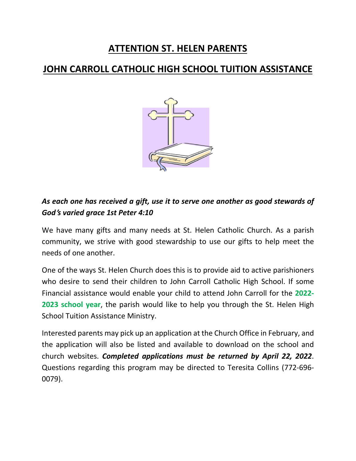## **ATTENTION ST. HELEN PARENTS**

### **JOHN CARROLL CATHOLIC HIGH SCHOOL TUITION ASSISTANCE**



### *As each one has received a gift, use it to serve one another as good stewards of God***'***s varied grace 1st Peter 4:10*

We have many gifts and many needs at St. Helen Catholic Church. As a parish community, we strive with good stewardship to use our gifts to help meet the needs of one another.

One of the ways St. Helen Church does this is to provide aid to active parishioners who desire to send their children to John Carroll Catholic High School. If some Financial assistance would enable your child to attend John Carroll for the **2022- 2023 school year**, the parish would like to help you through the St. Helen High School Tuition Assistance Ministry.

Interested parents may pick up an application at the Church Office in February, and the application will also be listed and available to download on the school and church websites. *Completed applications must be returned by April 22, 2022*. Questions regarding this program may be directed to Teresita Collins (772-696- 0079).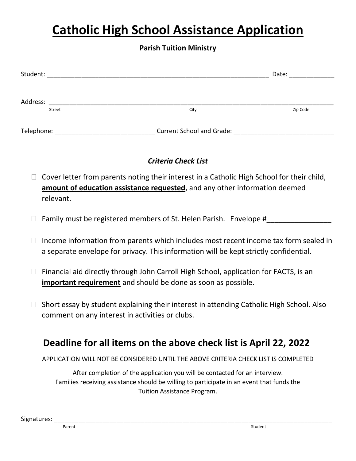# **Catholic High School Assistance Application**

#### **Parish Tuition Ministry**

| Student:   |        |                                  | Date:    |
|------------|--------|----------------------------------|----------|
| Address:   | Street | City                             | Zip Code |
| Telephone: |        | <b>Current School and Grade:</b> |          |

#### *Criteria Check List*

- $\Box$  Cover letter from parents noting their interest in a Catholic High School for their child, **amount of education assistance requested**, and any other information deemed relevant.
- $\Box$  Family must be registered members of St. Helen Parish. Envelope #
- $\Box$  Income information from parents which includes most recent income tax form sealed in a separate envelope for privacy. This information will be kept strictly confidential.
- $\Box$  Financial aid directly through John Carroll High School, application for FACTS, is an **important requirement** and should be done as soon as possible.
- $\Box$  Short essay by student explaining their interest in attending Catholic High School. Also comment on any interest in activities or clubs.

## **Deadline for all items on the above check list is April 22, 2022**

APPLICATION WILL NOT BE CONSIDERED UNTIL THE ABOVE CRITERIA CHECK LIST IS COMPLETED

After completion of the application you will be contacted for an interview. Families receiving assistance should be willing to participate in an event that funds the Tuition Assistance Program.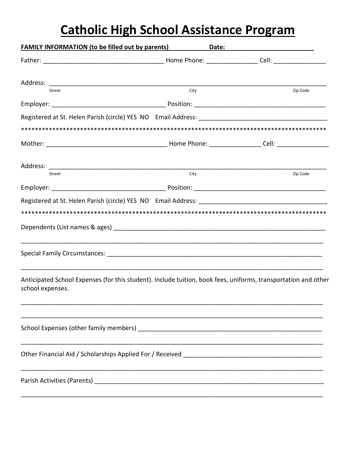# **Catholic High School Assistance Program**

| <u>FAMILY INFORMATION (to be filled out by parents) Date: Date:</u>                                                                |      |          |
|------------------------------------------------------------------------------------------------------------------------------------|------|----------|
|                                                                                                                                    |      |          |
|                                                                                                                                    |      |          |
| Street                                                                                                                             | City | Zip Code |
|                                                                                                                                    |      |          |
|                                                                                                                                    |      |          |
|                                                                                                                                    |      |          |
|                                                                                                                                    |      |          |
|                                                                                                                                    |      |          |
| Street                                                                                                                             | City | Zip Code |
|                                                                                                                                    |      |          |
| Registered at St. Helen Parish (circle) YES NO Email Address: ___________________                                                  |      |          |
|                                                                                                                                    |      |          |
|                                                                                                                                    |      |          |
|                                                                                                                                    |      |          |
| Anticipated School Expenses (for this student). Include tuition, book fees, uniforms, transportation and other<br>school expenses. |      |          |
|                                                                                                                                    |      |          |
|                                                                                                                                    |      |          |
|                                                                                                                                    |      |          |